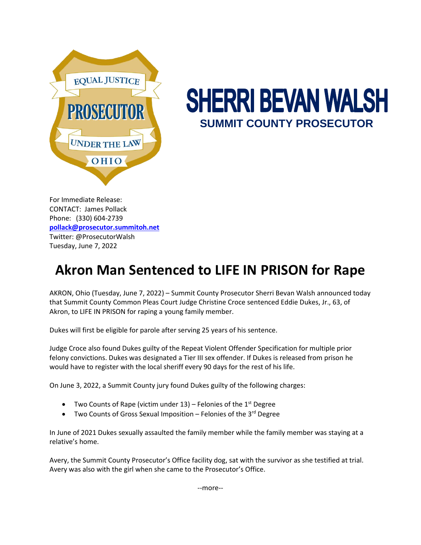

## **SHERRI BEVAN WALSH SUMMIT COUNTY PROSECUTOR**

For Immediate Release: CONTACT: James Pollack Phone: (330) 604-2739 **[pollack@prosecutor.summitoh.net](mailto:pollack@prosecutor.summitoh.net)** Twitter: @ProsecutorWalsh Tuesday, June 7, 2022

## **Akron Man Sentenced to LIFE IN PRISON for Rape**

AKRON, Ohio (Tuesday, June 7, 2022) – Summit County Prosecutor Sherri Bevan Walsh announced today that Summit County Common Pleas Court Judge Christine Croce sentenced Eddie Dukes, Jr., 63, of Akron, to LIFE IN PRISON for raping a young family member.

Dukes will first be eligible for parole after serving 25 years of his sentence.

Judge Croce also found Dukes guilty of the Repeat Violent Offender Specification for multiple prior felony convictions. Dukes was designated a Tier III sex offender. If Dukes is released from prison he would have to register with the local sheriff every 90 days for the rest of his life.

On June 3, 2022, a Summit County jury found Dukes guilty of the following charges:

- Two Counts of Rape (victim under  $13$ ) Felonies of the  $1<sup>st</sup>$  Degree
- Two Counts of Gross Sexual Imposition Felonies of the 3<sup>rd</sup> Degree

In June of 2021 Dukes sexually assaulted the family member while the family member was staying at a relative's home.

Avery, the Summit County Prosecutor's Office facility dog, sat with the survivor as she testified at trial. Avery was also with the girl when she came to the Prosecutor's Office.

--more--